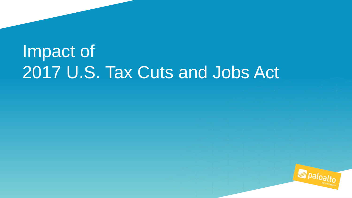## Impact of 2017 U.S. Tax Cuts and Jobs Act

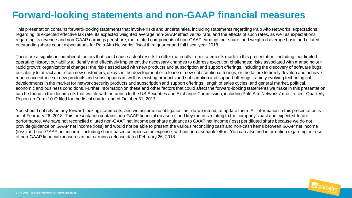## **Forward-looking statements and non-GAAP financial measures**

This presentation contains forward-looking statements that involve risks and uncertainties, including statements regarding Palo Alto Networks' expectations regarding its expected effective tax rate, its expected weighted average non-GAAP effective tax rate, and the effects of such rates, as well as expectations regarding its revenue and non-GAAP earnings per share, the related components of non-GAAP earnings per share, and weighted average basic and diluted outstanding share count expectations for Palo Alto Networks' fiscal third quarter and full fiscal year 2018.

There are a significant number of factors that could cause actual results to differ materially from statements made in this presentation, including: our limited operating history; our ability to identify and effectively implement the necessary changes to address execution challenges; risks associated with managing our rapid growth; organizational changes; the risks associated with new products and subscription and support offerings, including the discovery of software bugs; our ability to attract and retain new customers; delays in the development or release of new subscription offerings, or the failure to timely develop and achieve market acceptance of new products and subscriptions as well as existing products and subscription and support offerings; rapidly evolving technological developments in the market for network security products and subscription and support offerings; length of sales cycles; and general market, political, economic and business conditions. Further information on these and other factors that could affect the forward-looking statements we make in this presentation can be found in the documents that we file with or furnish to the US Securities and Exchange Commission, including Palo Alto Networks' most recent Quarterly Report on Form 10-Q filed for the fiscal quarter ended October 31, 2017.

You should not rely on any forward-looking statements, and we assume no obligation, nor do we intend, to update them. All information in this presentation is as of February 26, 2018. This presentation contains non-GAAP financial measures and key metrics relating to the company's past and expected future performance. We have not reconciled diluted non-GAAP net income per share guidance to GAAP net income (loss) per diluted share because we do not provide guidance on GAAP net income (loss) and would not be able to present the various reconciling cash and non-cash items between GAAP net income (loss) and non-GAAP net income, including share-based compensation expense, without unreasonable effort. You can also find information regarding our use of non-GAAP financial measures in our earnings release dated February 26, 2018.

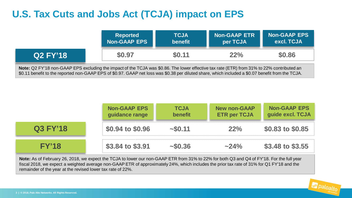## **U.S. Tax Cuts and Jobs Act (TCJA) impact on EPS**

|                                                                                                                                                                                                                                                                                                 | <b>Reported</b><br><b>Non-GAAP EPS</b> | <b>TCJA</b><br>benefit | <b>Non-GAAP ETR</b><br>per TCJA | <b>Non-GAAP EPS</b><br>excl. TCJA |
|-------------------------------------------------------------------------------------------------------------------------------------------------------------------------------------------------------------------------------------------------------------------------------------------------|----------------------------------------|------------------------|---------------------------------|-----------------------------------|
| Q2 FY'18                                                                                                                                                                                                                                                                                        | \$0.97                                 | \$0.11                 | 22%                             | \$0.86                            |
| Note: Q2 FY'18 non-GAAP EPS excluding the impact of the TCJA was \$0.86. The lower effective tax rate (ETR) from 31% to 22% contributed an<br>\$0.11 benefit to the reported non-GAAP EPS of \$0.97. GAAP net loss was \$0.38 per diluted share, which included a \$0.07 benefit from the TCJA. |                                        |                        |                                 |                                   |

|                 | <b>Non-GAAP EPS</b><br>idance range | <b>TCJA</b><br><b>benefit</b> | <b>New non-GAAP</b><br><b>ETR per TCJA</b> | <b>Non-GAAP EPS</b><br>guide excl. TCJA |
|-----------------|-------------------------------------|-------------------------------|--------------------------------------------|-----------------------------------------|
| <b>Q3 FY'18</b> | \$0.94 to \$0.96                    | ~150.11                       | $22\%$                                     | \$0.83 to \$0.85                        |
|                 | \$3.84 to \$3.91                    | $~1 - 50.36$                  | $~24\%$                                    | $$3.48 \text{ to } $3.55$               |

**Note:** As of February 26, 2018, we expect the TCJA to lower our non-GAAP ETR from 31% to 22% for both Q3 and Q4 of FY'18. For the full year fiscal 2018, we expect a weighted average non-GAAP ETR of approximately 24%, which includes the prior tax rate of 31% for Q1 FY'18 and the remainder of the year at the revised lower tax rate of 22%.